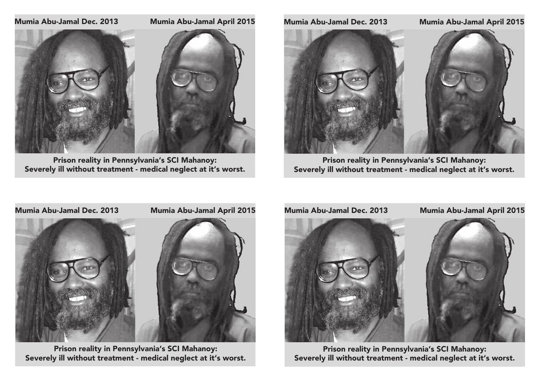# Mumia Abu-Jamal Dec. 2013 Mumia Abu-Jamal April 2015



Prison reality in Pennsylvania's SCI Mahanoy: Severely ill without treatment - medical neglect at it's worst.

# Mumia Abu-Jamal Dec. 2013 Mumia Abu-Jamal April 2015



Prison reality in Pennsylvania's SCI Mahanoy: Severely ill without treatment - medical neglect at it's worst.



Prison reality in Pennsylvania's SCI Mahanoy: Severely ill without treatment - medical neglect at it's worst.



Prison reality in Pennsylvania's SCI Mahanoy: Severely ill without treatment - medical neglect at it's worst.